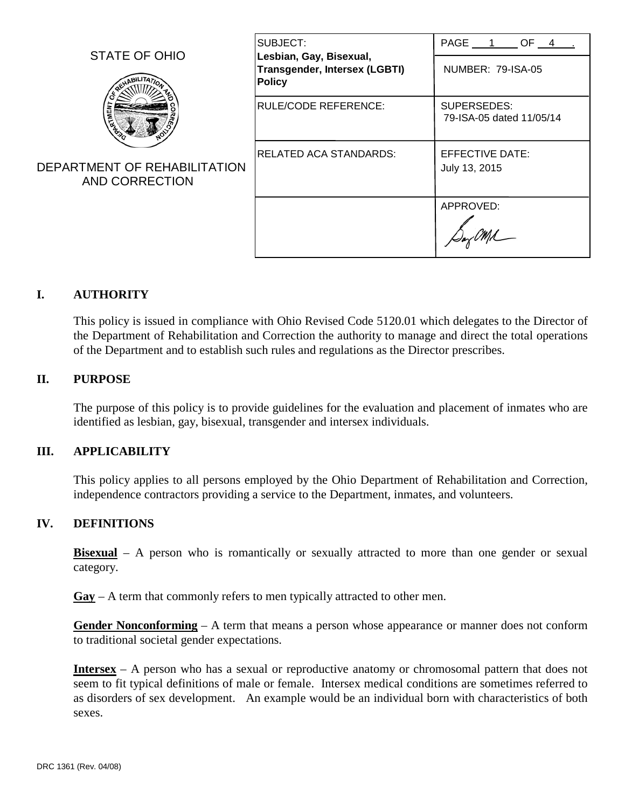| STATE OF OHIO                                  | SUBJECT:<br>Lesbian, Gay, Bisexual,<br><b>Transgender, Intersex (LGBTI)</b><br><b>Policy</b> | PAGE 1 OF 4                             |
|------------------------------------------------|----------------------------------------------------------------------------------------------|-----------------------------------------|
|                                                |                                                                                              | NUMBER: 79-ISA-05                       |
|                                                | <b>RULE/CODE REFERENCE:</b>                                                                  | SUPERSEDES:<br>79-ISA-05 dated 11/05/14 |
| DEPARTMENT OF REHABILITATION<br>AND CORRECTION | RELATED ACA STANDARDS:                                                                       | EFFECTIVE DATE:<br>July 13, 2015        |
|                                                |                                                                                              | APPROVED:                               |

# **I. AUTHORITY**

This policy is issued in compliance with Ohio Revised Code 5120.01 which delegates to the Director of the Department of Rehabilitation and Correction the authority to manage and direct the total operations of the Department and to establish such rules and regulations as the Director prescribes.

### **II. PURPOSE**

The purpose of this policy is to provide guidelines for the evaluation and placement of inmates who are identified as lesbian, gay, bisexual, transgender and intersex individuals.

#### **III. APPLICABILITY**

This policy applies to all persons employed by the Ohio Department of Rehabilitation and Correction, independence contractors providing a service to the Department, inmates, and volunteers.

#### **IV. DEFINITIONS**

**Bisexual** – A person who is romantically or sexually attracted to more than one gender or sexual category.

**Gay** – A term that commonly refers to men typically attracted to other men.

**Gender Nonconforming** – A term that means a person whose appearance or manner does not conform to traditional societal gender expectations.

**Intersex** – A person who has a sexual or reproductive anatomy or chromosomal pattern that does not seem to fit typical definitions of male or female. Intersex medical conditions are sometimes referred to as disorders of sex development. An example would be an individual born with characteristics of both sexes.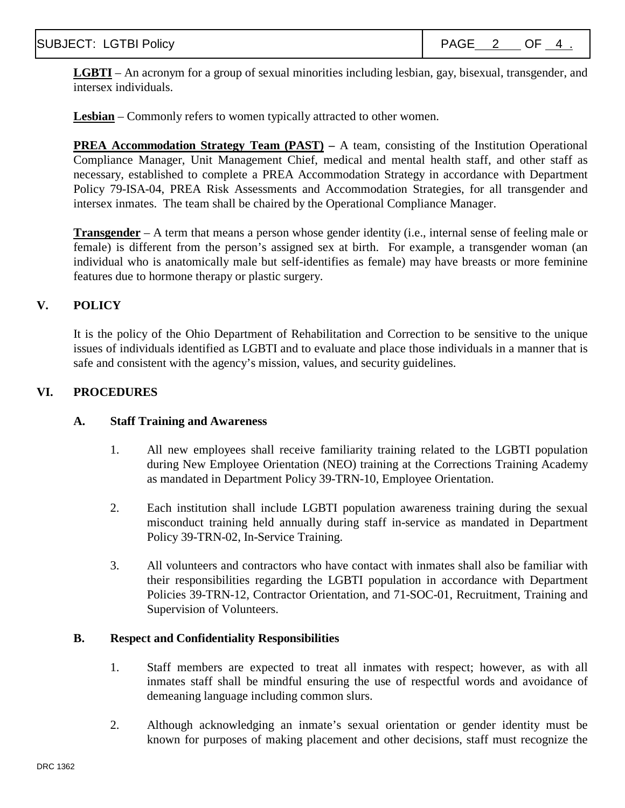**LGBTI** – An acronym for a group of sexual minorities including lesbian, gay, bisexual, transgender, and intersex individuals.

**Lesbian** – Commonly refers to women typically attracted to other women.

**PREA Accommodation Strategy Team (PAST) –** A team, consisting of the Institution Operational Compliance Manager, Unit Management Chief, medical and mental health staff, and other staff as necessary, established to complete a PREA Accommodation Strategy in accordance with Department Policy 79-ISA-04, PREA Risk Assessments and Accommodation Strategies, for all transgender and intersex inmates. The team shall be chaired by the Operational Compliance Manager.

**Transgender** – A term that means a person whose gender identity (i.e., internal sense of feeling male or female) is different from the person's assigned sex at birth. For example, a transgender woman (an individual who is anatomically male but self-identifies as female) may have breasts or more feminine features due to hormone therapy or plastic surgery.

## **V. POLICY**

It is the policy of the Ohio Department of Rehabilitation and Correction to be sensitive to the unique issues of individuals identified as LGBTI and to evaluate and place those individuals in a manner that is safe and consistent with the agency's mission, values, and security guidelines.

## **VI. PROCEDURES**

### **A. Staff Training and Awareness**

- 1. All new employees shall receive familiarity training related to the LGBTI population during New Employee Orientation (NEO) training at the Corrections Training Academy as mandated in Department Policy 39-TRN-10, Employee Orientation.
- 2. Each institution shall include LGBTI population awareness training during the sexual misconduct training held annually during staff in-service as mandated in Department Policy 39-TRN-02, In-Service Training.
- 3. All volunteers and contractors who have contact with inmates shall also be familiar with their responsibilities regarding the LGBTI population in accordance with Department Policies 39-TRN-12, Contractor Orientation, and 71-SOC-01, Recruitment, Training and Supervision of Volunteers.

### **B. Respect and Confidentiality Responsibilities**

- 1. Staff members are expected to treat all inmates with respect; however, as with all inmates staff shall be mindful ensuring the use of respectful words and avoidance of demeaning language including common slurs.
- 2. Although acknowledging an inmate's sexual orientation or gender identity must be known for purposes of making placement and other decisions, staff must recognize the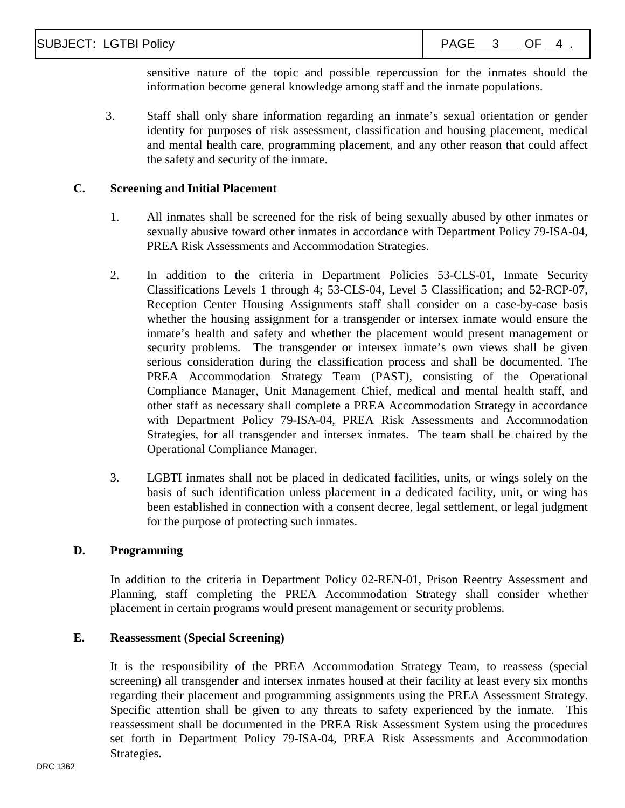sensitive nature of the topic and possible repercussion for the inmates should the information become general knowledge among staff and the inmate populations.

3. Staff shall only share information regarding an inmate's sexual orientation or gender identity for purposes of risk assessment, classification and housing placement, medical and mental health care, programming placement, and any other reason that could affect the safety and security of the inmate.

### **C. Screening and Initial Placement**

- 1. All inmates shall be screened for the risk of being sexually abused by other inmates or sexually abusive toward other inmates in accordance with Department Policy 79-ISA-04, PREA Risk Assessments and Accommodation Strategies.
- 2. In addition to the criteria in Department Policies 53-CLS-01, Inmate Security Classifications Levels 1 through 4; 53-CLS-04, Level 5 Classification; and 52-RCP-07, Reception Center Housing Assignments staff shall consider on a case-by-case basis whether the housing assignment for a transgender or intersex inmate would ensure the inmate's health and safety and whether the placement would present management or security problems. The transgender or intersex inmate's own views shall be given serious consideration during the classification process and shall be documented. The PREA Accommodation Strategy Team (PAST), consisting of the Operational Compliance Manager, Unit Management Chief, medical and mental health staff, and other staff as necessary shall complete a PREA Accommodation Strategy in accordance with Department Policy 79-ISA-04, PREA Risk Assessments and Accommodation Strategies, for all transgender and intersex inmates. The team shall be chaired by the Operational Compliance Manager.
- 3. LGBTI inmates shall not be placed in dedicated facilities, units, or wings solely on the basis of such identification unless placement in a dedicated facility, unit, or wing has been established in connection with a consent decree, legal settlement, or legal judgment for the purpose of protecting such inmates.

#### **D. Programming**

In addition to the criteria in Department Policy 02-REN-01, Prison Reentry Assessment and Planning, staff completing the PREA Accommodation Strategy shall consider whether placement in certain programs would present management or security problems.

#### **E. Reassessment (Special Screening)**

It is the responsibility of the PREA Accommodation Strategy Team, to reassess (special screening) all transgender and intersex inmates housed at their facility at least every six months regarding their placement and programming assignments using the PREA Assessment Strategy. Specific attention shall be given to any threats to safety experienced by the inmate. This reassessment shall be documented in the PREA Risk Assessment System using the procedures set forth in Department Policy 79-ISA-04, PREA Risk Assessments and Accommodation Strategies**.**